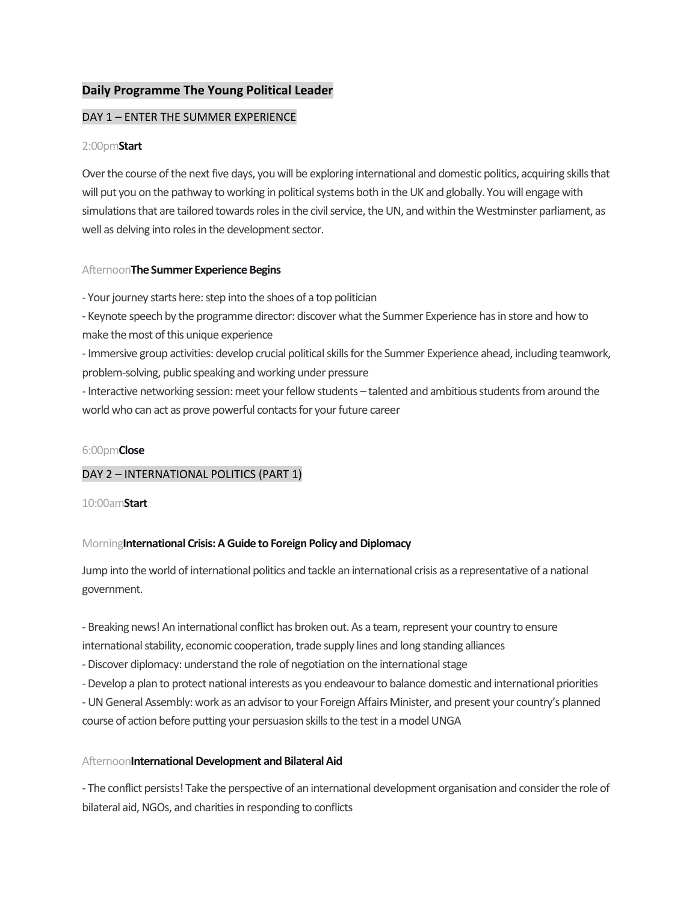# **Daily Programme The Young Political Leader**

## DAY 1 – ENTER THE SUMMER EXPERIENCE

### 2:00pm**Start**

Over the course of the next five days, you will be exploring international and domestic politics, acquiring skills that will put you on the pathway to working in political systems both in the UK and globally. You will engage with simulations that are tailored towards roles in the civil service, the UN, and within the Westminster parliament, as well as delving into roles in the development sector.

## Afternoon**The Summer Experience Begins**

- Your journey starts here: step into the shoes of a top politician

- Keynote speech by the programme director: discover what the Summer Experience has in store and how to make the most of this unique experience

- Immersive group activities: develop crucial political skills for the Summer Experience ahead, including teamwork, problem-solving, public speaking and working under pressure

- Interactive networking session: meet your fellow students – talented and ambitious students from around the world who can act as prove powerful contacts for your future career

#### 6:00pm**Close**

## DAY 2 – INTERNATIONAL POLITICS (PART 1)

10:00am**Start**

## Morning**International Crisis: A Guide to Foreign Policy and Diplomacy**

Jump into the world of international politics and tackle an international crisis as a representative of a national government.

- Breaking news! An international conflict has broken out. As a team, represent your country to ensure international stability, economic cooperation, trade supply lines and long standing alliances

-Discover diplomacy: understand the role of negotiation on the international stage

-Develop a plan to protect national interests as you endeavour to balance domestic and international priorities

- UN General Assembly: work as an advisor to your Foreign Affairs Minister, and present your country's planned course of action before putting your persuasion skills to the test in a model UNGA

## Afternoon**International Development and Bilateral Aid**

- The conflict persists! Take the perspective of an international development organisation and consider the role of bilateral aid, NGOs, and charities in responding to conflicts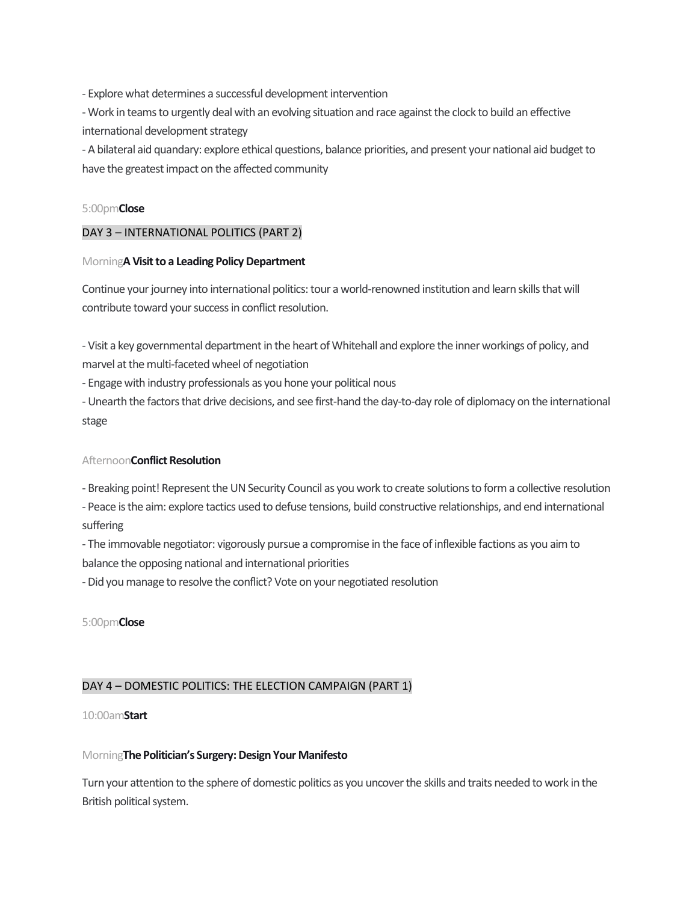- Explore what determines a successful development intervention

- Work in teams to urgently deal with an evolving situation and race against the clock to build an effective international development strategy

- A bilateral aid quandary: explore ethical questions, balance priorities, and present your national aid budget to have the greatest impact on the affected community

## 5:00pm**Close**

# DAY 3 – INTERNATIONAL POLITICS (PART 2)

## Morning**A Visit to a Leading Policy Department**

Continue your journey into international politics: tour a world-renowned institution and learn skills that will contribute toward your success in conflict resolution.

- Visit a key governmental department in the heart of Whitehall and explore the inner workings of policy, and marvel at the multi-faceted wheel of negotiation

- Engage with industry professionals as you hone your political nous

- Unearth the factors that drive decisions, and see first-hand the day-to-day role of diplomacy on the international stage

## Afternoon**Conflict Resolution**

- Breaking point! Represent the UN Security Council as you work to create solutions to form a collective resolution

- Peace is the aim: explore tactics used to defuse tensions, build constructive relationships, and end international suffering

- The immovable negotiator: vigorously pursue a compromise in the face of inflexible factions as you aim to balance the opposing national and international priorities

-Did you manage to resolve the conflict? Vote on your negotiated resolution

5:00pm**Close**

# DAY 4 – DOMESTIC POLITICS: THE ELECTION CAMPAIGN (PART 1)

10:00am**Start**

## Morning**The Politician's Surgery: Design Your Manifesto**

Turn your attention to the sphere of domestic politics as you uncover the skills and traits needed to work in the British political system.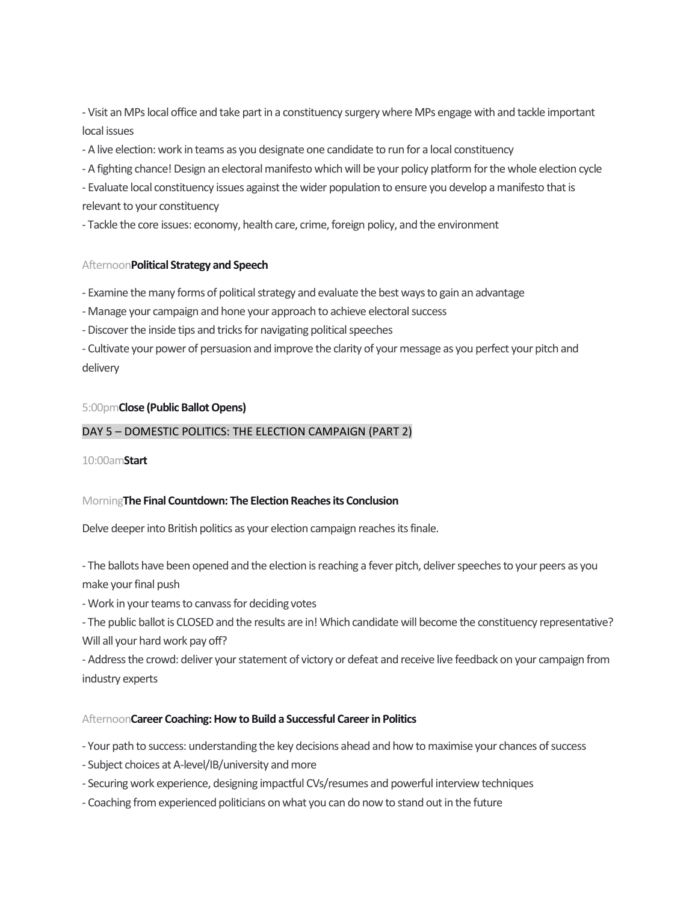- Visit an MPs local office and take part in a constituency surgery where MPs engage with and tackle important local issues

- A live election: work in teams as you designate one candidate to run for a local constituency

- A fighting chance! Design an electoral manifesto which will be your policy platform for the whole election cycle

- Evaluate local constituency issues against the wider population to ensure you develop a manifesto that is relevant to your constituency

- Tackle the core issues: economy, health care, crime, foreign policy, and the environment

## Afternoon**Political Strategy and Speech**

- Examine the many forms of political strategy and evaluate the best ways to gain an advantage

- Manage your campaign and hone your approach to achieve electoral success

- Discover the inside tips and tricks for navigating political speeches

- Cultivate your power of persuasion and improve the clarity of your message as you perfect your pitch and delivery

## 5:00pm**Close (Public Ballot Opens)**

## DAY 5 – DOMESTIC POLITICS: THE ELECTION CAMPAIGN (PART 2)

10:00am**Start**

## Morning**The Final Countdown: The Election Reaches its Conclusion**

Delve deeper into British politics as your election campaign reaches its finale.

- The ballots have been opened and the election is reaching a fever pitch, deliver speeches to your peers as you make your final push

- Work in your teams to canvass for deciding votes

- The public ballot is CLOSED and the results are in! Which candidate will become the constituency representative? Will all your hard work pay off?

- Address the crowd: deliver your statement of victory or defeat and receive live feedback on your campaign from industry experts

## Afternoon**Career Coaching: How to Build a Successful Career in Politics**

- Your path to success: understanding the key decisions ahead and how to maximise your chances of success

- Subject choices at A-level/IB/university and more
- Securing work experience, designing impactful CVs/resumes and powerful interview techniques
- Coaching from experienced politicians on what you can do now to stand out in the future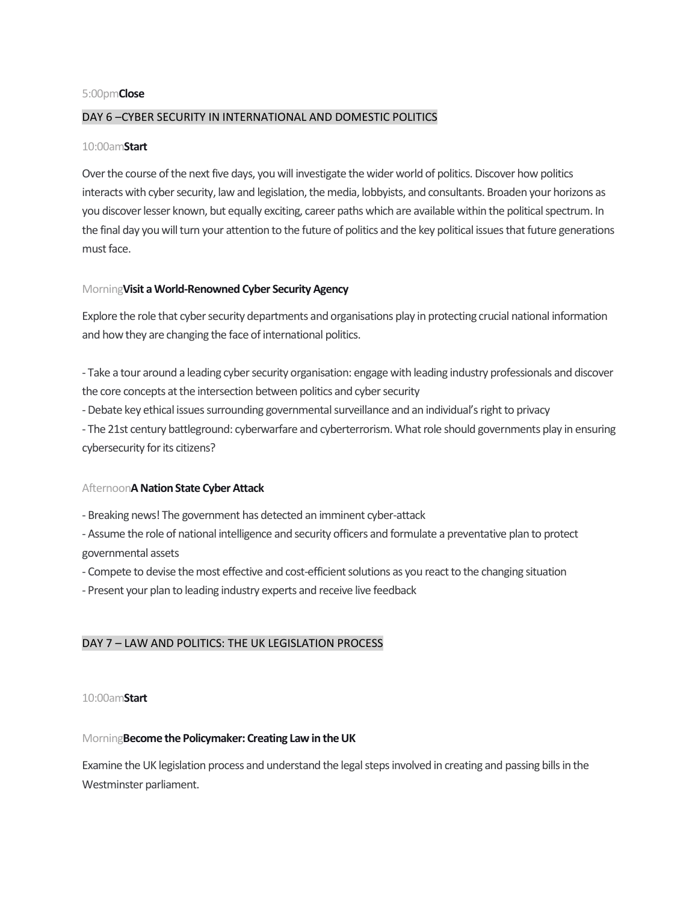#### 5:00pm**Close**

### DAY 6 –CYBER SECURITY IN INTERNATIONAL AND DOMESTIC POLITICS

#### 10:00am**Start**

Over the course of the next five days, youwill investigate the wider world of politics. Discover how politics interacts with cyber security, law and legislation, the media, lobbyists, and consultants. Broaden your horizons as you discover lesser known, but equally exciting, career paths which are available within the political spectrum. In the final day you will turn your attention to the future of politics and the key political issues that future generations must face.

#### Morning**Visit a World-Renowned Cyber Security Agency**

Explore the role that cyber security departments and organisations play in protecting crucial national information and how they are changing the face of international politics.

- Take a tour around a leading cyber security organisation: engage with leading industry professionals and discover the core concepts at the intersection between politics and cyber security

-Debate key ethical issues surrounding governmental surveillance and an individual's right to privacy

- The 21st century battleground: cyberwarfare and cyberterrorism. What role should governments play in ensuring cybersecurity for its citizens?

## Afternoon**A Nation State Cyber Attack**

- Breaking news! The government has detected an imminent cyber-attack

- Assume the role of national intelligence and security officers and formulate a preventative plan to protect governmental assets

- Compete to devise the most effective and cost-efficient solutions as you react to the changing situation

- Present your plan to leading industry experts and receive live feedback

## DAY 7 – LAW AND POLITICS: THE UK LEGISLATION PROCESS

#### 10:00am**Start**

## Morning**Become the Policymaker: Creating Law in the UK**

Examine the UK legislation process and understand the legal steps involved in creating and passing bills in the Westminster parliament.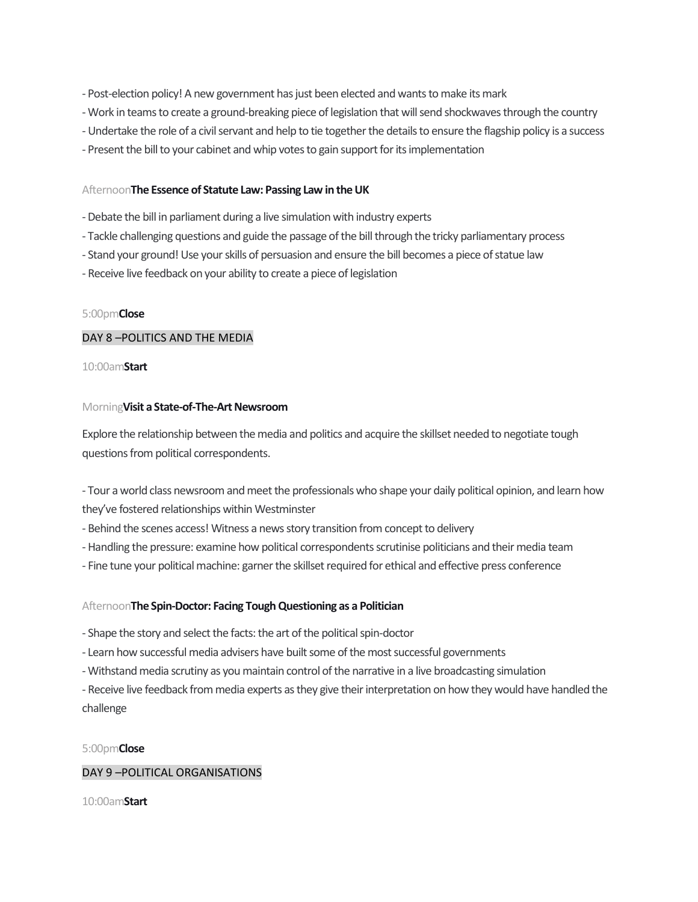- Post-election policy! A new government has just been elected and wants to make its mark
- Work in teams to create a ground-breaking piece of legislation that will send shockwaves through the country
- Undertake the role of a civil servant and help to tie together the details to ensure the flagship policy is a success
- Present the bill to your cabinet and whip votes to gain support for its implementation

## Afternoon**The Essence of Statute Law: Passing Law in the UK**

- -Debate the bill in parliament during a live simulation with industry experts
- Tackle challenging questions and guide the passage of the bill through the tricky parliamentary process
- Stand your ground! Use your skills of persuasion and ensure the bill becomes a piece of statue law
- Receive live feedback on your ability to create a piece of legislation

## 5:00pm**Close**

## DAY 8 –POLITICS AND THE MEDIA

## 10:00am**Start**

## Morning**Visit a State-of-The-Art Newsroom**

Explore the relationship between the media and politics and acquire the skillset needed to negotiate tough questions from political correspondents.

- Tour a world class newsroom and meet the professionals who shape your daily political opinion, and learn how they've fostered relationships within Westminster

- Behind the scenes access! Witness a news story transition from concept to delivery
- Handling the pressure: examine how political correspondents scrutinise politicians and their media team
- Fine tune your political machine: garner the skillset required for ethical and effective press conference

## Afternoon**The Spin-Doctor: Facing Tough Questioning as a Politician**

- Shape the story and select the facts: the art of the political spin-doctor
- Learn how successful media advisers have built some of the most successful governments
- Withstand media scrutiny as you maintain control of the narrative in a live broadcasting simulation

- Receive live feedback from media experts as they give their interpretation on how they would have handled the challenge

## 5:00pm**Close**

## DAY 9 –POLITICAL ORGANISATIONS

10:00am**Start**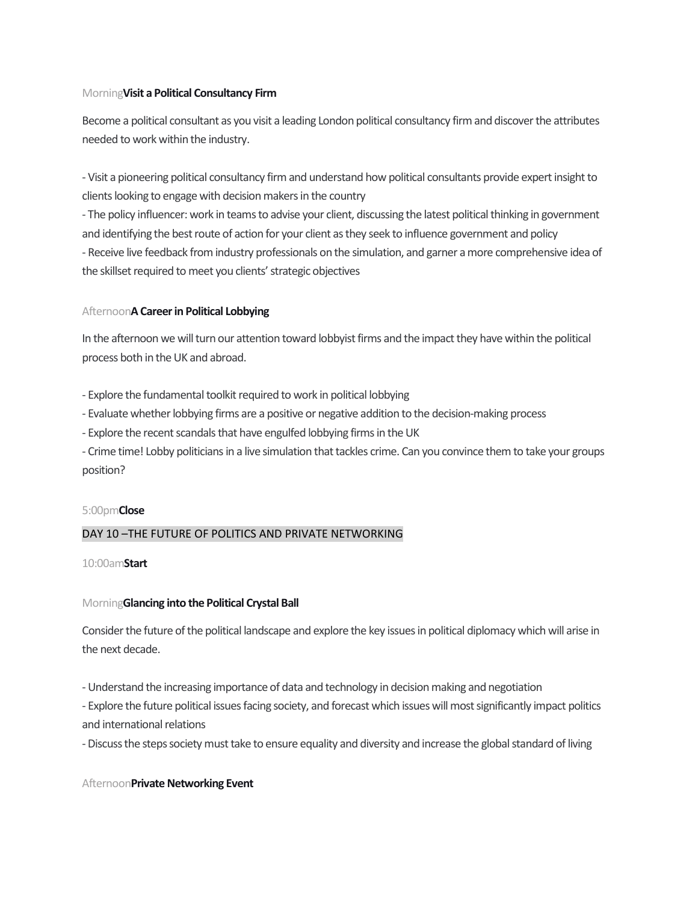## Morning**Visit a Political Consultancy Firm**

Become a political consultant as you visit a leading London political consultancy firm and discover the attributes needed to work within the industry.

- Visit a pioneering political consultancy firm and understand how political consultants provide expert insight to clients looking to engage with decision makers in the country

- The policy influencer: work in teams to advise your client, discussing the latest political thinking in government and identifying the best route of action for your client as they seek to influence government and policy - Receive live feedback from industry professionals on the simulation, and garner a more comprehensive idea of the skillset required to meet you clients' strategic objectives

## Afternoon**A Career in Political Lobbying**

In the afternoon we will turn our attention toward lobbyist firms and the impact they have within the political process both in the UK and abroad.

- Explore the fundamental toolkit required to work in political lobbying

- Evaluate whether lobbying firms are a positive or negative addition to the decision-making process

- Explore the recent scandals that have engulfed lobbying firms in the UK

- Crime time! Lobby politicians in a live simulation that tackles crime. Can you convince them to take your groups position?

## 5:00pm**Close**

## DAY 10 –THE FUTURE OF POLITICS AND PRIVATE NETWORKING

10:00am**Start**

## Morning**Glancing into the Political Crystal Ball**

Consider the future of the political landscape and explore the key issues in political diplomacy which will arise in the next decade.

- Understand the increasing importance of data and technology in decision making and negotiation

- Explore the future political issues facing society, and forecast which issues will most significantly impact politics and international relations

-Discuss the steps society must take to ensure equality and diversity and increase the global standard of living

## Afternoon**Private Networking Event**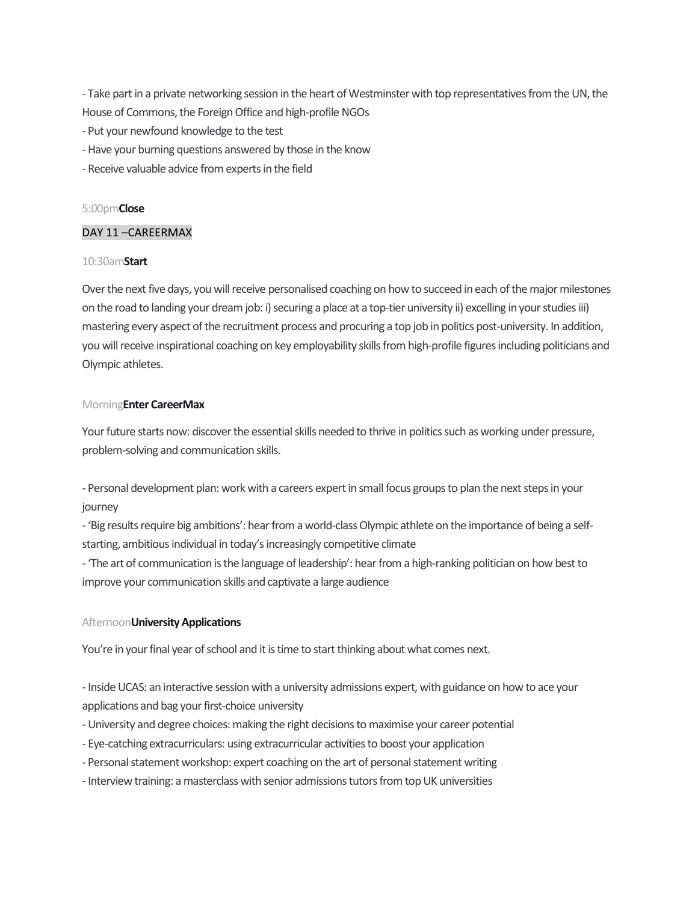- Take part in a private networking session in the heart of Westminster with top representatives from the UN, the House of Commons, the Foreign Office and high-profile NGOs

- Put your newfound knowledge to the test
- Have your burning questions answered by those in the know
- Receive valuable advice from experts in the field

#### 5:00pm**Close**

## DAY 11 –CAREERMAX

#### 10:30am**Start**

Over the next five days, you will receive personalised coaching on how to succeed in each of the major milestones on the road to landing your dream job: i) securing a place at a top-tier university ii) excelling in your studies iii) mastering every aspect of the recruitment process and procuring a top job in politics post-university. In addition, you will receive inspirational coaching on key employability skills from high-profile figures including politicians and Olympic athletes.

#### Morning**Enter CareerMax**

Your future starts now: discover the essential skills needed to thrive in politics such as working under pressure, problem-solving and communication skills.

- Personal development plan: work with a careers expert in small focus groups to plan the next steps in your journey

- 'Big results require big ambitions': hear from a world-class Olympic athlete on the importance of being a selfstarting, ambitious individual in today's increasingly competitive climate

- 'The art of communication is the language of leadership': hear from a high-ranking politician on how best to improve your communication skills and captivate a large audience

#### Afternoon**University Applications**

You're in your final year of school and it is time to start thinking about what comes next.

- Inside UCAS: an interactive session with a university admissions expert, with guidance on how to ace your applications and bag your first-choice university

- University and degree choices: making the right decisions to maximise your career potential
- Eye-catching extracurriculars: using extracurricular activities to boost your application
- Personal statement workshop: expert coaching on the art of personal statement writing
- Interview training: a masterclass with senior admissions tutors from top UK universities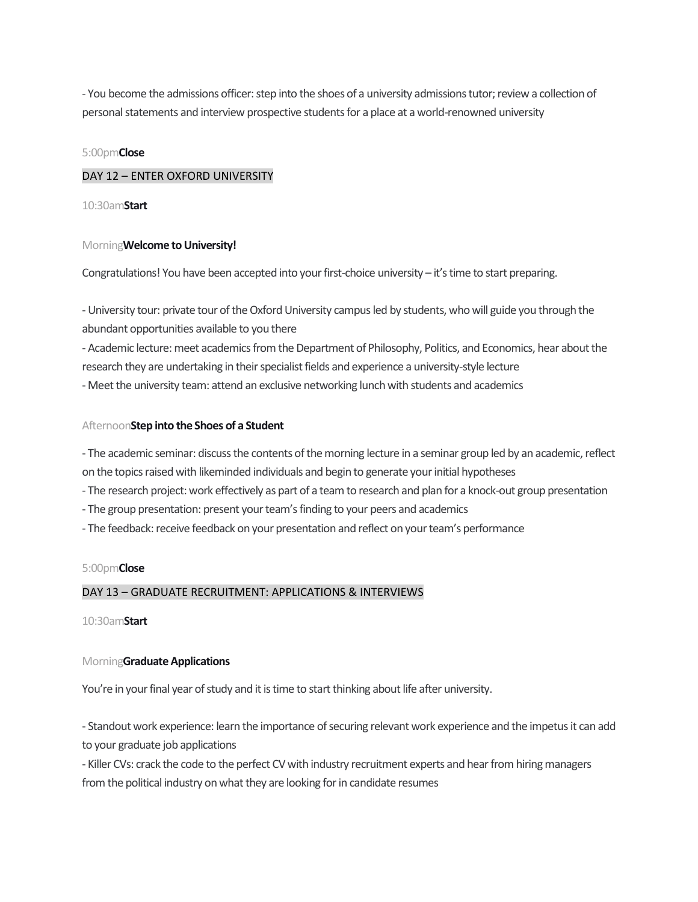- You become the admissions officer: step into the shoes of a university admissions tutor; review a collection of personal statements and interview prospective students for a place at a world-renowned university

## 5:00pm**Close**

## DAY 12 – ENTER OXFORD UNIVERSITY

10:30am**Start**

#### Morning**Welcome to University!**

Congratulations! You have been accepted into your first-choice university – it's time to start preparing.

- University tour: private tour of the Oxford University campus led by students, who will guide you through the abundant opportunities available to you there

- Academic lecture: meet academics from the Department of Philosophy, Politics, and Economics, hear about the research they are undertaking in their specialist fields and experience a university-style lecture

- Meet the university team: attend an exclusive networking lunch with students and academics

#### Afternoon**Step into the Shoes of a Student**

- The academic seminar: discuss the contents of the morning lecture in a seminar group led by an academic, reflect on the topics raised with likeminded individuals and begin to generate your initial hypotheses

- The research project: work effectively as part of a team to research and plan for a knock-out group presentation
- The group presentation: present your team's finding to your peers and academics
- The feedback: receive feedback on your presentation and reflect on your team's performance

#### 5:00pm**Close**

## DAY 13 – GRADUATE RECRUITMENT: APPLICATIONS & INTERVIEWS

10:30am**Start**

## Morning**Graduate Applications**

You're in your final year of study and it is time to start thinking about life after university.

- Standout work experience: learn the importance of securing relevant work experience and the impetusit can add to your graduate job applications

- Killer CVs: crack the code to the perfect CV with industry recruitment experts and hear from hiring managers from the political industry on what they are looking for in candidate resumes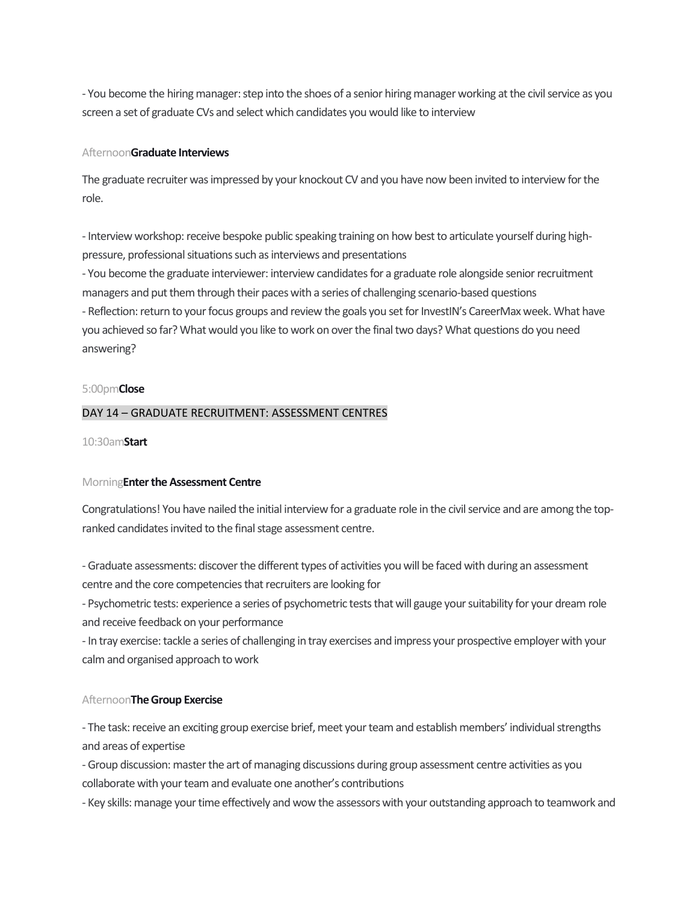- You become the hiring manager: step into the shoes of a senior hiring manager working at the civil service as you screen a set of graduate CVs and select which candidates you would like to interview

#### Afternoon**Graduate Interviews**

The graduate recruiter was impressed by your knockout CV and you have now been invited to interview for the role.

- Interview workshop: receive bespoke public speaking training on how best to articulate yourself during highpressure, professional situations such as interviews and presentations

- You become the graduate interviewer: interview candidates for a graduate role alongside senior recruitment managers and put them through their paces with a series of challenging scenario-based questions

- Reflection: return to your focus groups and review the goals you set for InvestIN's CareerMax week. What have you achieved so far? What would you like to work on over the final two days? What questions do you need answering?

#### 5:00pm**Close**

## DAY 14 – GRADUATE RECRUITMENT: ASSESSMENT CENTRES

#### 10:30am**Start**

## Morning**Enter the Assessment Centre**

Congratulations! You have nailed the initial interview for a graduate role in the civil service and are among the topranked candidates invited to the final stage assessment centre.

- Graduate assessments: discover the different types of activities you will be faced with during an assessment centre and the core competencies that recruiters are looking for

- Psychometric tests: experience a series of psychometric tests that will gauge your suitability for your dream role and receive feedback on your performance

- In tray exercise: tackle a series of challenging in tray exercises and impress your prospective employer with your calm and organised approach to work

## Afternoon**The Group Exercise**

- The task: receive an exciting group exercise brief, meet your team and establish members' individual strengths and areas of expertise

- Group discussion: master the art of managing discussions during group assessment centre activities as you collaborate with your team and evaluate one another's contributions

- Key skills: manage your time effectively and wow the assessors with your outstanding approach to teamwork and